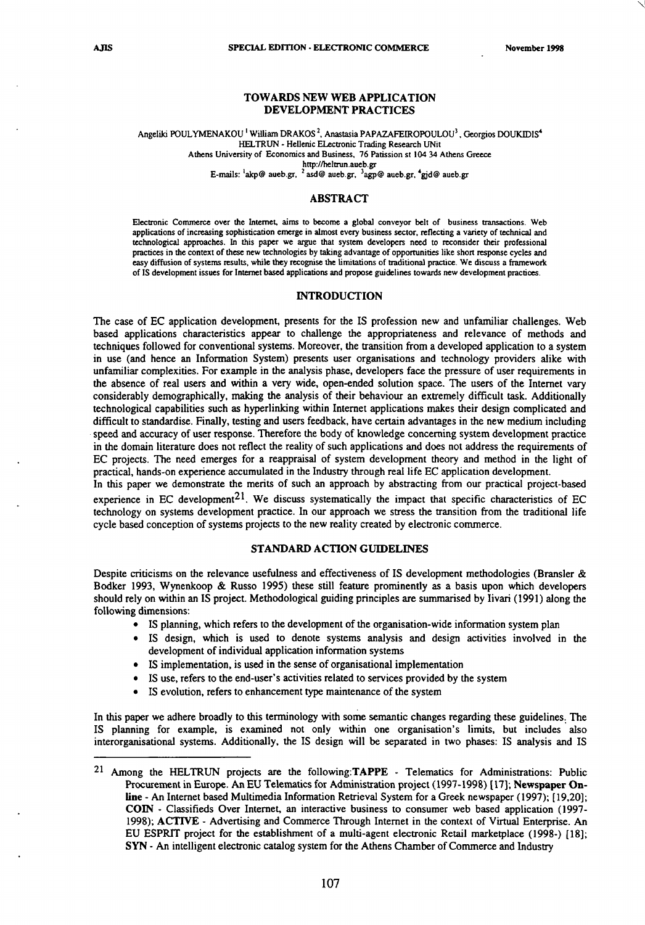$\diagdown$ 

# **TOWARDS** NEW **WEB APPLICATION DEVELOPMENT PRACTICES**

#### Angeliki POULYMENAKOU  $^{\mathsf{I}}$  William DRAKOS  $^{\mathsf{2}}$ , Anastasia PAPAZAFEIROPOULOU  $^{\mathsf{3}}$  , Georgios DOUKIDIS $^{\mathsf{4}}$ HELTRUN - Hellenic ELectronic Trading Research UNit Athens University of Economics and Business, 76 Patission st 104 34 Athens Greece

http://heltrun.aueb.gr

E-mails: <sup>1</sup>akp@ aueb.gr, <sup>2</sup> asd@ aueb.gr, <sup>3</sup>agp@ aueb.gr, <sup>4</sup>gjd@ aueb.g

## **ABSTRACT**

Electronic Commerce over the Internet, aims to become a global conveyor belt of business transactions. Web applications of increasing sophistication emerge in almost every business sector, reflecting a variety of technical and technological approaches. In this paper we argue that system developers need to reconsider their professional practices in the context of these new technologies by taking advantage of opportunities like short response cycles and easy diffusion of systems results, while they recognise the limitations of traditional practice. We discuss a framework of IS development issues for Internet based applications and propose guidelines towards new development practices.

#### **INTRODUCTION**

The case of EC application development, presents for the IS profession new and unfamiliar challenges. Web based applications characteristics appear to challenge the appropriateness and relevance of methods and techniques followed for conventional systems. Moreover, the transition from a developed application to a system in use (and hence an Information System) presents user organisations and technology providers alike with unfamiliar complexities. For example in the analysis phase, developers face the pressure of user requirements in the absence of real users and within a very wide, open-ended solution space. The users of the Internet vary considerably demographically, making the analysis of their behaviour an extremely difficult task. Additionally technological capabilities such as hyperlinking within Internet applications makes their design complicated and difficult to standardise. Finally, testing and users feedback, have certain advantages in the new medium including speed and accuracy of user response. Therefore the body of knowledge concerning system development practice in the domain literature does not reflect the reality of such applications and does not address the requirements of EC projects. The need emerges for a reappraisal of system development theory and method in the light of practical, hands-on experience accumulated in the Industry through real life EC application development.

In this paper we demonstrate the merits of such an approach by abstracting from our practical project-based experience in EC development<sup>21</sup>. We discuss systematically the impact that specific characteristics of EC technology on systems development practice. In our approach we stress the transition from the traditional life cycle based conception of systems projects to the new reality created by electronic commerce.

### **STANDARD ACTION GUIDELINES**

Despite criticisms on the relevance usefulness and effectiveness of IS development methodologies (Bransler & Bodker 1993, Wynenkoop & Russo 1995) these still feature prominently as a basis upon which developers should rely on within an IS project Methodological guiding principles are summarised by livari (1991) along the following dimensions:

- IS planning, which refers to the development of the organisation-wide information system plan
- IS design, which is used to denote systems analysis and design activities involved in the development of individual application information systems
- IS implementation, is used in the sense of organisational implementation
- IS use, refers to the end-user's activities related to services provided by the system
- IS evolution, refers to enhancement type maintenance of the system

In this paper we adhere broadly to this terminology with some semantic changes regarding these guidelines. The IS planning for example, is examined not only within one organisation's limits, but includes also interorganisational systems. Additionally, the IS design will be separated in two phases: IS analysis and IS

<sup>21</sup> Among the HELTRUN projects are the following:TAPPE - Telematics for Administrations: Public Procurement in Europe. An EU Telematics for Administration project (1997-1998) [17]; Newspaper Online - An Internet based Multimedia Information Retrieval System for a Greek newspaper (1997); [19,20]; COIN - Classifieds Over Internet, an interactive business to consumer web based application (1997- 1998); ACTIVE - Advertising and Commerce Through Internet in the context of Virtual Enterprise. An EU ESPRIT project for the establishment of a multi-agent electronic Retail marketplace (1998-) [18]; SYN - An intelligent electronic catalog system for the Athens Chamber of Commerce and Industry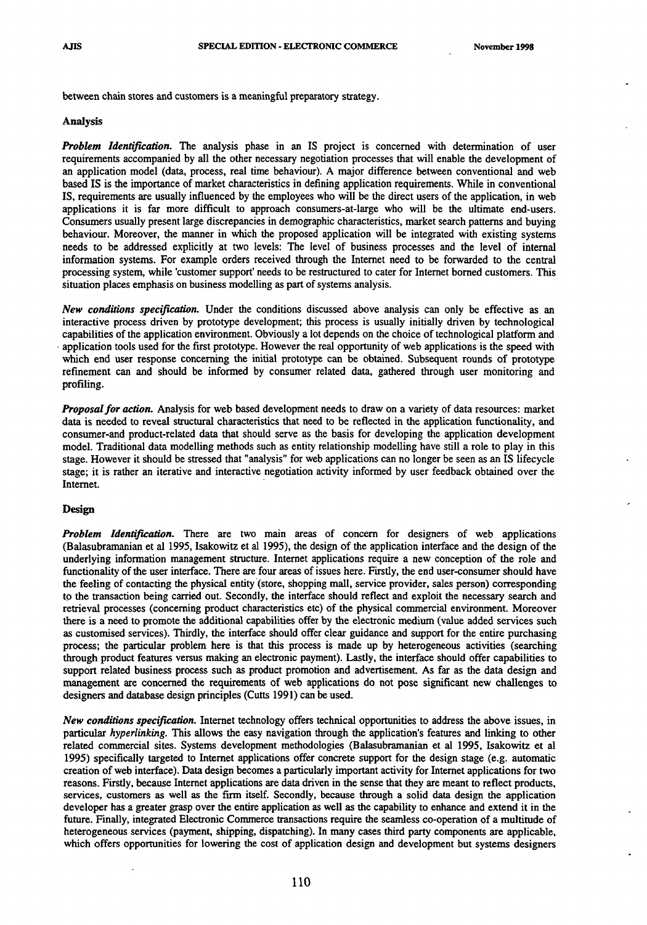between chain stores and customers is a meaningful preparatory strategy.

## Analysis

*Problem Identification.* The analysis phase in an IS project is concerned with determination of user requirements accompanied by all the other necessary negotiation processes that will enable the development of an application model (data, process, real time behaviour). A major difference between conventional and web based IS is the importance of market characteristics in defining application requirements. While in conventional IS, requirements are usually influenced by the employees who will be the direct users of the application, in web applications it is far more difficult to approach consumers-at-large who will be the ultimate end-users. Consumers usually present large discrepancies in demographic characteristics, market search patterns and buying behaviour. Moreover, the manner in which the proposed application will be integrated with existing systems needs to be addressed explicitly at two levels: The level of business processes and the level of internal information systems. For example orders received through the Internet need to be forwarded to the central processing system, while 'customer support' needs to be restructured to cater for Internet borned customers. This situation places emphasis on business modelling as part of systems analysis.

*New conditions specification.* Under the conditions discussed above analysis can only be effective as an interactive process driven by prototype development; this process is usually initially driven by technological capabilities of the application environment. Obviously a lot depends on the choice of technological platform and application tools used for the first prototype. However the real opportunity of web applications is the speed with which end user response concerning the initial prototype can be obtained. Subsequent rounds of prototype refinement can and should be informed by consumer related data, gathered through user monitoring and profiling.

*Proposal for action.* Analysis for web based development needs to draw on a variety of data resources: market data is needed to reveal structural characteristics that need to be reflected in the application functionality, and consumer-and product-related data that should serve as the basis for developing the application development model. Traditional data modelling methods such as entity relationship modelling have still a role to play in this stage. However it should be stressed that "analysis" for web applications can no longer be seen as an IS lifecycle stage; it is rather an iterative and interactive negotiation activity informed by user feedback obtained over the Internet.

#### **Design**

*Problem Identification.* There are two main areas of concern for designers of web applications (Balasubramanian et al 1995, Isakowitz et al 1995), the design of the application interface and the design of the underlying information management structure. Internet applications require a new conception of the role and functionality of the user interface. There are four areas of issues here. Firstly, the end user-consumer should have the feeling of contacting the physical entity (store, shopping mall, service provider, sales person) corresponding to the transaction being carried out. Secondly, the interface should reflect and exploit the necessary search and retrieval processes (concerning product characteristics etc) of the physical commercial environment. Moreover there is a need to promote the additional capabilities offer by the electronic medium (value added services such as customised services). Thirdly, the interface should offer clear guidance and support for the entire purchasing process; the particular problem here is that this process is made up by heterogeneous activities (searching through product features versus making an electronic payment). Lastly, the interface should offer capabilities to support related business process such as product promotion and advertisement. As far as the data design and management are concerned the requirements of web applications do not pose significant new challenges to designers and database design principles (Cutts 1991) can be used.

*New conditions specification.* Internet technology offers technical opportunities to address the above issues, in particular *hyperlinking.* This allows the easy navigation through the application's features and linking to other related commercial sites. Systems development methodologies (Balasubramanian et al 1995, Isakowitz et al 1995) specifically targeted to Internet applications offer concrete support for the design stage (e.g. automatic creation of web interface). Data design becomes a particularly important activity for Internet applications for two reasons. Firstly, because Internet applications are data driven in the sense that they are meant to reflect products, services, customers as well as the firm itself. Secondly, because through a solid data design the application developer has a greater grasp over the entire application as well as the capability to enhance and extend it in the future. Finally, integrated Electronic Commerce transactions require the seamless co-operation of a multitude of heterogeneous services (payment, shipping, dispatching). In many cases third party components are applicable, which offers opportunities for lowering the cost of application design and development but systems designers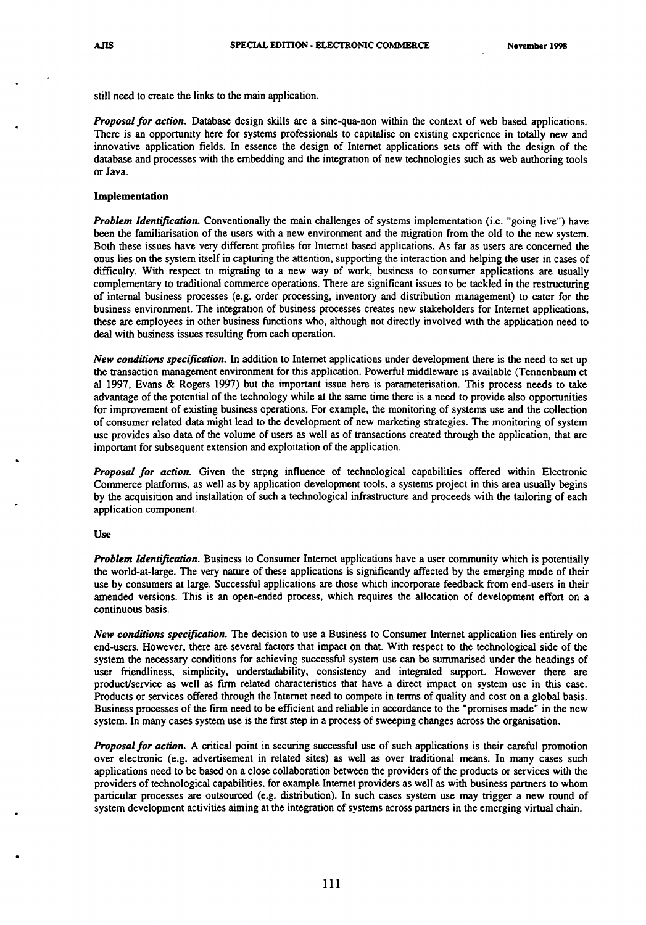still need to create the links to the main application.

*Proposal for action.* Database design skills are a sine-qua-non within the context of web based applications. There is an opportunity here for systems professionals to capitalise on existing experience in totally new and innovative application fields. In essence the design of Internet applications sets off with the design of the database and processes with the embedding and the integration of new technologies such as web authoring tools or Java.

### **Implementation**

*Problem Identification.* Conventionally the main challenges of systems implementation (i.e. "going live") have been the familiarisation of the users with a new environment and the migration from the old to the new system. Both these issues have very different profiles for Internet based applications. As far as users are concerned the onus lies on the system itself in capturing the attention, supporting the interaction and helping the user in cases of difficulty. With respect to migrating to a new way of work, business to consumer applications are usually complementary to traditional commerce operations. There are significant issues to be tackled in the restructuring of internal business processes (e.g. order processing, inventory and distribution management) to cater for the business environment. The integration of business processes creates new stakeholders for Internet applications, these are employees in other business functions who, although not directly involved with the application need to deal with business issues resulting from each operation.

*New conditions specification.* In addition to Internet applications under development there is the need to set up the transaction management environment for this application. Powerful middleware is available (Tennenbaum et al 1997, Evans & Rogers 1997) but the important issue here is parameterisation. This process needs to take advantage of the potential of the technology while at the same time there is a need to provide also opportunities for improvement of existing business operations. For example, the monitoring of systems use and the collection of consumer related data might lead to the development of new marketing strategies. The monitoring of system use provides also data of the volume of users as well as of transactions created through the application, that are important for subsequent extension and exploitation of the application.

**Proposal for action.** Given the strong influence of technological capabilities offered within Electronic Commerce platforms, as well as by application development tools, a systems project in this area usually begins by the acquisition and installation of such a technological infrastructure and proceeds with the tailoring of each application component.

#### Use

*Problem Identification.* Business to Consumer Internet applications have a user community which is potentially the world-at-large. The very nature of these applications is significantly affected by the emerging mode of their use by consumers at large. Successful applications are those which incorporate feedback from end-users in their amended versions. This is an open-ended process, which requires the allocation of development effort on a continuous basis.

*New conditions specification.* The decision to use a Business to Consumer Internet application lies entirely on end-users. However, there are several factors that impact on that With respect to the technological side of the system die necessary conditions for achieving successful system use can be summarised under the headings of user friendliness, simplicity, understadability, consistency and integrated support. However there are product/service as well as firm related characteristics that have a direct impact on system use in this case. Products or services offered through the Internet need to compete in terms of quality and cost on a global basis. Business processes of the firm need to be efficient and reliable in accordance to the "promises made" in the new system. In many cases system use is the first step in a process of sweeping changes across the organisation.

*Proposal for action.* A critical point in securing successful use of such applications is their careful promotion over electronic (e.g. advertisement in related sites) as well as over traditional means. In many cases such applications need to be based on a close collaboration between the providers of the products or services with the providers of technological capabilities, for example Internet providers as well as with business partners to whom particular processes are outsourced (e.g. distribution). In such cases system use may trigger a new round of system development activities aiming at the integration of systems across partners in the emerging virtual chain.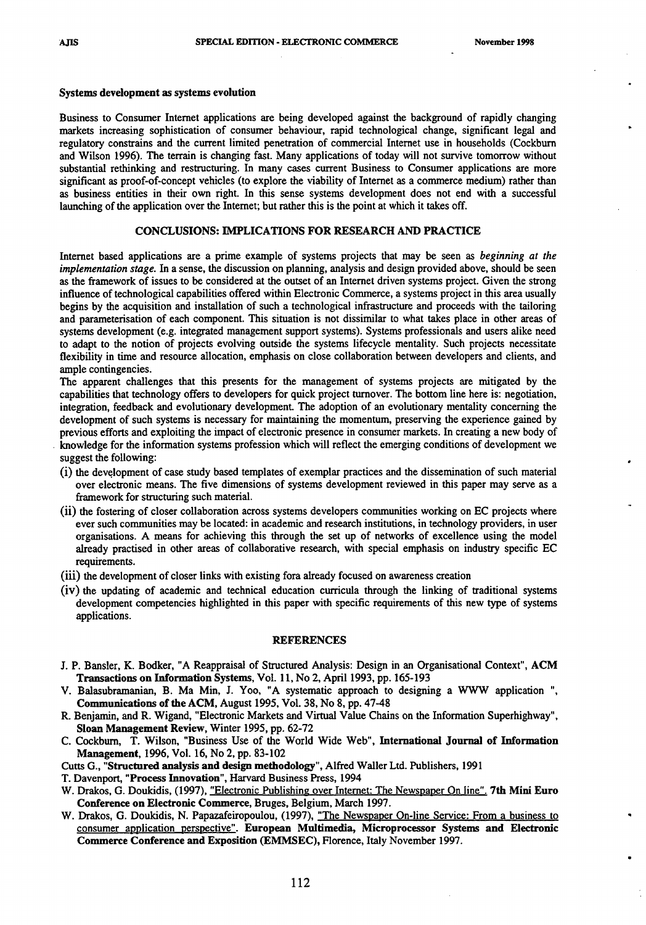### **Systems development as systems evolution**

Business to Consumer Internet applications are being developed against the background of rapidly changing markets increasing sophistication of consumer behaviour, rapid technological change, significant legal and regulatory constrains and the current limited penetration of commercial Internet use in households (Cockburn and Wilson 1996). The terrain is changing fast. Many applications of today will not survive tomorrow without substantial rethinking and restructuring. In many cases current Business to Consumer applications are more significant as proof-of-concept vehicles (to explore the viability of Internet as a commerce medium) rather than as business entities in their own right. In this sense systems development does not end with a successful launching of the application over the Internet; but rather this is the point at which it takes off.

## **CONCLUSIONS: IMPLICATIONS FOR RESEARCH AND PRACTICE**

Internet based applications are a prime example of systems projects that may be seen as *beginning at the implementation stage.* In a sense, the discussion on planning, analysis and design provided above, should be seen as the framework of issues to be considered at the outset of an Internet driven systems project. Given the strong influence of technological capabilities offered within Electronic Commerce, a systems project in this area usually begins by the acquisition and installation of such a technological infrastructure and proceeds with the tailoring and parameterisation of each component. This situation is not dissimilar to what takes place in other areas of systems development (e.g. integrated management support systems). Systems professionals and users alike need to adapt to the notion of projects evolving outside the systems lifecycle mentality. Such projects necessitate flexibility in time and resource allocation, emphasis on close collaboration between developers and clients, and ample contingencies.

The apparent challenges that this presents for the management of systems projects are mitigated by the capabilities that technology offers to developers for quick project turnover. The bottom line here is: negotiation, integration, feedback and evolutionary development. The adoption of an evolutionary mentality concerning the development of such systems is necessary for maintaining the momentum, preserving the experience gained by previous efforts and exploiting the impact of electronic presence in consumer markets. In creating a new body of knowledge for the information systems profession which will reflect the emerging conditions of development we suggest the following:

- (i) the development of case study based templates of exemplar practices and the dissemination of such material over electronic means. The five dimensions of systems development reviewed in this paper may serve as a framework for structuring such material,
- (ii) the fostering of closer collaboration across systems developers communities working on EC projects where ever such communities may be located: in academic and research institutions, in technology providers, in user organisations. A means for achieving this through the set up of networks of excellence using the model already practised in other areas of collaborative research, with special emphasis on industry specific EC requirements.
- (iii) the development of closer links with existing fora already focused on awareness creation
- (iv) the updating of academic and technical education curricula through the linking of traditional systems development competencies highlighted in this paper with specific requirements of this new type of systems applications.

### **REFERENCES**

- J. P. Bansler, K. Bodker, "A Reappraisal of Structured Analysis: Design in an Organisational Context", ACM **Transactions on Information Systems,** Vol. 11, No 2, April 1993, pp. 165-193
- V. Balasubramanian, B. Ma Min, J. Yoo, "A systematic approach to designing a WWW application ", **Communications of the ACM,** August 1995, Vol. 38, No 8, pp. 47-48
- R. Benjamin, and R. Wigand, "Electronic Markets and Virtual Value Chains on the Information Superhighway", **Sloan Management Review,** Winter 1995, pp. 62-72
- C. Cockburn, T. Wilson, "Business Use of the World Wide Web", **International Journal of Information Management,** 1996, Vol. 16, No 2, pp. 83-102
- Cutts G., **"Structured analysis and design methodology",** Alfred Waller Ltd. Publishers, 1991
- T. Davenport, **"Process Innovation",** Harvard Business Press, 1994
- W. Drakos, G. Doukidis, (1997), "Electronic Publishing over Internet: The Newspaper On line". **7th Mini Euro Conference on Electronic Commerce,** Bruges, Belgium, March 1997.
- W. Drakos, G. Doukidis, N. Papazafeiropoulou, (1997), "The Newspaper On-line Service: From a business to consumer application perspective". **European Multimedia, Microprocessor Systems and Electronic Commerce Conference and Exposition** (EMMSEC), Florence, Italy November 1997.